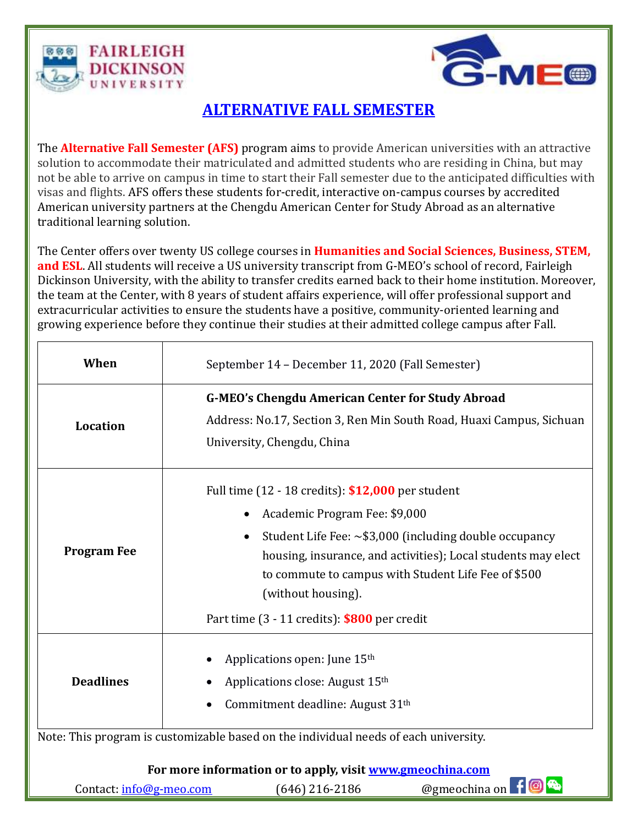

Ī



## **ALTERNATIVE FALL SEMESTER**

The **Alternative Fall Semester (AFS)** program aims to provide American universities with an attractive solution to accommodate their matriculated and admitted students who are residing in China, but may not be able to arrive on campus in time to start their Fall semester due to the anticipated difficulties with visas and flights. AFS offers these students for-credit, interactive on-campus courses by accredited American university partners at the Chengdu American Center for Study Abroad as an alternative traditional learning solution.

The Center offers over twenty US college courses in **Humanities and Social Sciences, Business, STEM, and ESL**. All students will receive a US university transcript from G-MEO's school of record, Fairleigh Dickinson University, with the ability to transfer credits earned back to their home institution. Moreover, the team at the Center, with 8 years of student affairs experience, will offer professional support and extracurricular activities to ensure the students have a positive, community-oriented learning and growing experience before they continue their studies at their admitted college campus after Fall.

| When                                                      | September 14 - December 11, 2020 (Fall Semester)                                                                                                              |                                                                                                                                                          |                                                                                                                                                                                      |  |  |
|-----------------------------------------------------------|---------------------------------------------------------------------------------------------------------------------------------------------------------------|----------------------------------------------------------------------------------------------------------------------------------------------------------|--------------------------------------------------------------------------------------------------------------------------------------------------------------------------------------|--|--|
| Location                                                  | <b>G-MEO's Chengdu American Center for Study Abroad</b><br>Address: No.17, Section 3, Ren Min South Road, Huaxi Campus, Sichuan<br>University, Chengdu, China |                                                                                                                                                          |                                                                                                                                                                                      |  |  |
| <b>Program Fee</b>                                        |                                                                                                                                                               | Full time (12 - 18 credits): \$12,000 per student<br>Academic Program Fee: \$9,000<br>(without housing).<br>Part time (3 - 11 credits): \$800 per credit | Student Life Fee: $\sim$ \$3,000 (including double occupancy<br>housing, insurance, and activities); Local students may elect<br>to commute to campus with Student Life Fee of \$500 |  |  |
| <b>Deadlines</b>                                          |                                                                                                                                                               | Applications open: June 15 <sup>th</sup><br>Applications close: August 15th<br>Commitment deadline: August 31th                                          |                                                                                                                                                                                      |  |  |
|                                                           |                                                                                                                                                               | Note: This program is customizable based on the individual needs of each university.                                                                     |                                                                                                                                                                                      |  |  |
| For more information or to apply, visit www.gmeochina.com |                                                                                                                                                               |                                                                                                                                                          |                                                                                                                                                                                      |  |  |
| Contact: info@g-meo.com                                   |                                                                                                                                                               | (646) 216-2186                                                                                                                                           | @gmeochina on 11 <b>@ &amp;</b>                                                                                                                                                      |  |  |